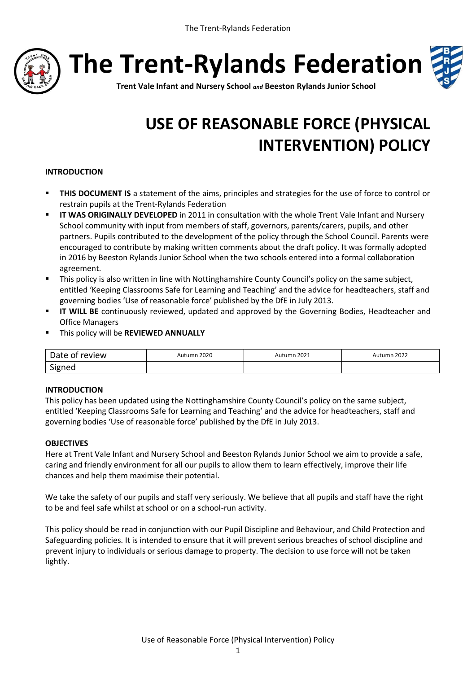

**The Trent-Rylands Federation**



**Trent Vale Infant and Nursery School** *and* **Beeston Rylands Junior School**

# **USE OF REASONABLE FORCE (PHYSICAL INTERVENTION) POLICY**

## **INTRODUCTION**

- **THIS DOCUMENT IS** a statement of the aims, principles and strategies for the use of force to control or restrain pupils at the Trent-Rylands Federation
- **IT WAS ORIGINALLY DEVELOPED** in 2011 in consultation with the whole Trent Vale Infant and Nursery School community with input from members of staff, governors, parents/carers, pupils, and other partners. Pupils contributed to the development of the policy through the School Council. Parents were encouraged to contribute by making written comments about the draft policy. It was formally adopted in 2016 by Beeston Rylands Junior School when the two schools entered into a formal collaboration agreement.
- This policy is also written in line with Nottinghamshire County Council's policy on the same subject, entitled 'Keeping Classrooms Safe for Learning and Teaching' and the advice for headteachers, staff and governing bodies 'Use of reasonable force' published by the DfE in July 2013.
- **II WILL BE** continuously reviewed, updated and approved by the Governing Bodies, Headteacher and Office Managers
- This policy will be **REVIEWED ANNUALLY**

| Date of review | Autumn 2020 | Autumn 2021 | Autumn 2022 |
|----------------|-------------|-------------|-------------|
| Signed         |             |             |             |

#### **INTRODUCTION**

This policy has been updated using the Nottinghamshire County Council's policy on the same subject, entitled 'Keeping Classrooms Safe for Learning and Teaching' and the advice for headteachers, staff and governing bodies 'Use of reasonable force' published by the DfE in July 2013.

#### **OBJECTIVES**

Here at Trent Vale Infant and Nursery School and Beeston Rylands Junior School we aim to provide a safe, caring and friendly environment for all our pupils to allow them to learn effectively, improve their life chances and help them maximise their potential.

We take the safety of our pupils and staff very seriously. We believe that all pupils and staff have the right to be and feel safe whilst at school or on a school-run activity.

This policy should be read in conjunction with our Pupil Discipline and Behaviour, and Child Protection and Safeguarding policies. It is intended to ensure that it will prevent serious breaches of school discipline and prevent injury to individuals or serious damage to property. The decision to use force will not be taken lightly.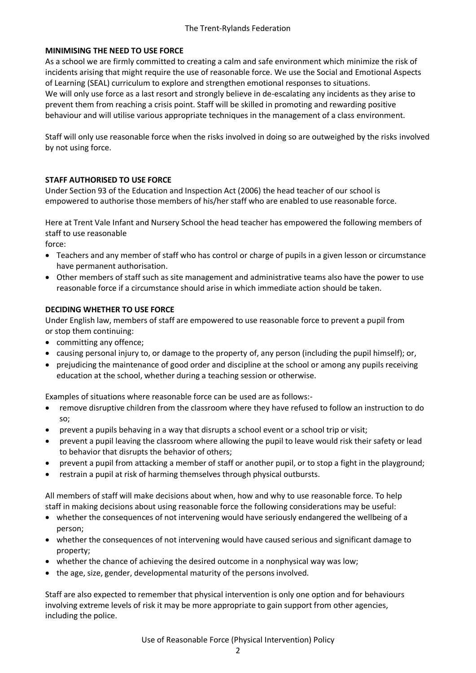## **MINIMISING THE NEED TO USE FORCE**

As a school we are firmly committed to creating a calm and safe environment which minimize the risk of incidents arising that might require the use of reasonable force. We use the Social and Emotional Aspects of Learning (SEAL) curriculum to explore and strengthen emotional responses to situations. We will only use force as a last resort and strongly believe in de-escalating any incidents as they arise to prevent them from reaching a crisis point. Staff will be skilled in promoting and rewarding positive behaviour and will utilise various appropriate techniques in the management of a class environment.

Staff will only use reasonable force when the risks involved in doing so are outweighed by the risks involved by not using force.

# **STAFF AUTHORISED TO USE FORCE**

Under Section 93 of the Education and Inspection Act (2006) the head teacher of our school is empowered to authorise those members of his/her staff who are enabled to use reasonable force.

Here at Trent Vale Infant and Nursery School the head teacher has empowered the following members of staff to use reasonable

- force:
- Teachers and any member of staff who has control or charge of pupils in a given lesson or circumstance have permanent authorisation.
- Other members of staff such as site management and administrative teams also have the power to use reasonable force if a circumstance should arise in which immediate action should be taken.

## **DECIDING WHETHER TO USE FORCE**

Under English law, members of staff are empowered to use reasonable force to prevent a pupil from or stop them continuing:

- committing any offence;
- causing personal injury to, or damage to the property of, any person (including the pupil himself); or,
- prejudicing the maintenance of good order and discipline at the school or among any pupils receiving education at the school, whether during a teaching session or otherwise.

Examples of situations where reasonable force can be used are as follows:-

- remove disruptive children from the classroom where they have refused to follow an instruction to do so;
- prevent a pupils behaving in a way that disrupts a school event or a school trip or visit;
- prevent a pupil leaving the classroom where allowing the pupil to leave would risk their safety or lead to behavior that disrupts the behavior of others;
- prevent a pupil from attacking a member of staff or another pupil, or to stop a fight in the playground;
- restrain a pupil at risk of harming themselves through physical outbursts.

All members of staff will make decisions about when, how and why to use reasonable force. To help staff in making decisions about using reasonable force the following considerations may be useful:

- whether the consequences of not intervening would have seriously endangered the wellbeing of a person;
- whether the consequences of not intervening would have caused serious and significant damage to property;
- whether the chance of achieving the desired outcome in a nonphysical way was low;
- the age, size, gender, developmental maturity of the persons involved.

Staff are also expected to remember that physical intervention is only one option and for behaviours involving extreme levels of risk it may be more appropriate to gain support from other agencies, including the police.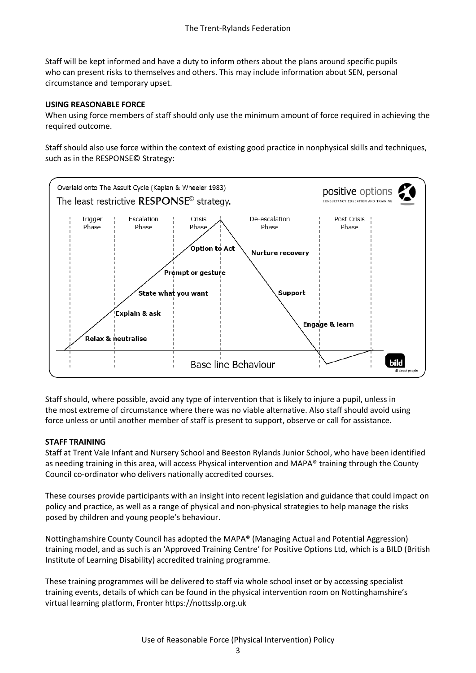Staff will be kept informed and have a duty to inform others about the plans around specific pupils who can present risks to themselves and others. This may include information about SEN, personal circumstance and temporary upset.

## **USING REASONABLE FORCE**

When using force members of staff should only use the minimum amount of force required in achieving the required outcome.

Staff should also use force within the context of existing good practice in nonphysical skills and techniques, such as in the RESPONSE© Strategy:



Staff should, where possible, avoid any type of intervention that is likely to injure a pupil, unless in the most extreme of circumstance where there was no viable alternative. Also staff should avoid using force unless or until another member of staff is present to support, observe or call for assistance.

#### **STAFF TRAINING**

Staff at Trent Vale Infant and Nursery School and Beeston Rylands Junior School, who have been identified as needing training in this area, will access Physical intervention and MAPA® training through the County Council co-ordinator who delivers nationally accredited courses.

These courses provide participants with an insight into recent legislation and guidance that could impact on policy and practice, as well as a range of physical and non-physical strategies to help manage the risks posed by children and young people's behaviour.

Nottinghamshire County Council has adopted the MAPA® (Managing Actual and Potential Aggression) training model, and as such is an 'Approved Training Centre' for Positive Options Ltd, which is a BILD (British Institute of Learning Disability) accredited training programme.

These training programmes will be delivered to staff via whole school inset or by accessing specialist training events, details of which can be found in the physical intervention room on Nottinghamshire's virtual learning platform, Fronter https://nottsslp.org.uk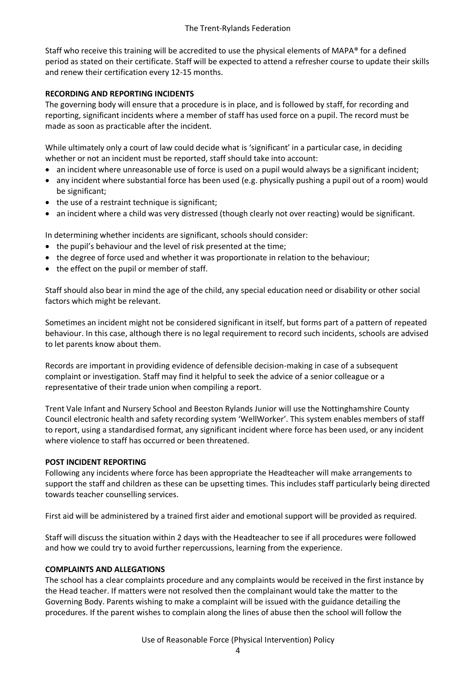Staff who receive this training will be accredited to use the physical elements of MAPA® for a defined period as stated on their certificate. Staff will be expected to attend a refresher course to update their skills and renew their certification every 12-15 months.

## **RECORDING AND REPORTING INCIDENTS**

The governing body will ensure that a procedure is in place, and is followed by staff, for recording and reporting, significant incidents where a member of staff has used force on a pupil. The record must be made as soon as practicable after the incident.

While ultimately only a court of law could decide what is 'significant' in a particular case, in deciding whether or not an incident must be reported, staff should take into account:

- an incident where unreasonable use of force is used on a pupil would always be a significant incident;
- any incident where substantial force has been used (e.g. physically pushing a pupil out of a room) would be significant;
- the use of a restraint technique is significant;
- an incident where a child was very distressed (though clearly not over reacting) would be significant.

In determining whether incidents are significant, schools should consider:

- the pupil's behaviour and the level of risk presented at the time;
- the degree of force used and whether it was proportionate in relation to the behaviour;
- the effect on the pupil or member of staff.

Staff should also bear in mind the age of the child, any special education need or disability or other social factors which might be relevant.

Sometimes an incident might not be considered significant in itself, but forms part of a pattern of repeated behaviour. In this case, although there is no legal requirement to record such incidents, schools are advised to let parents know about them.

Records are important in providing evidence of defensible decision-making in case of a subsequent complaint or investigation. Staff may find it helpful to seek the advice of a senior colleague or a representative of their trade union when compiling a report.

Trent Vale Infant and Nursery School and Beeston Rylands Junior will use the Nottinghamshire County Council electronic health and safety recording system 'WellWorker'. This system enables members of staff to report, using a standardised format, any significant incident where force has been used, or any incident where violence to staff has occurred or been threatened.

## **POST INCIDENT REPORTING**

Following any incidents where force has been appropriate the Headteacher will make arrangements to support the staff and children as these can be upsetting times. This includes staff particularly being directed towards teacher counselling services.

First aid will be administered by a trained first aider and emotional support will be provided as required.

Staff will discuss the situation within 2 days with the Headteacher to see if all procedures were followed and how we could try to avoid further repercussions, learning from the experience.

## **COMPLAINTS AND ALLEGATIONS**

The school has a clear complaints procedure and any complaints would be received in the first instance by the Head teacher. If matters were not resolved then the complainant would take the matter to the Governing Body. Parents wishing to make a complaint will be issued with the guidance detailing the procedures. If the parent wishes to complain along the lines of abuse then the school will follow the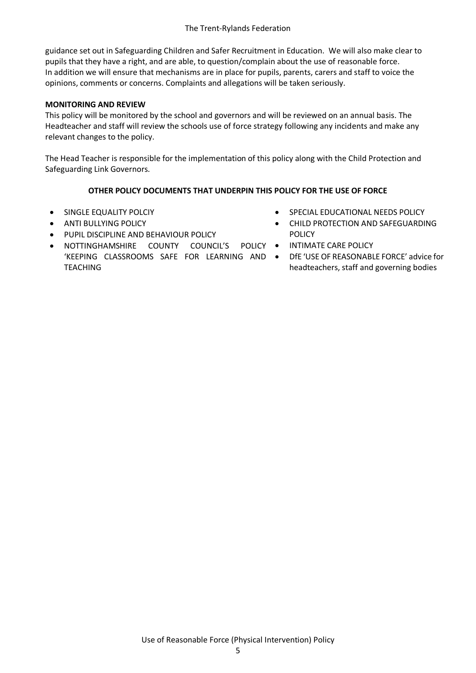guidance set out in Safeguarding Children and Safer Recruitment in Education. We will also make clear to pupils that they have a right, and are able, to question/complain about the use of reasonable force. In addition we will ensure that mechanisms are in place for pupils, parents, carers and staff to voice the opinions, comments or concerns. Complaints and allegations will be taken seriously.

## **MONITORING AND REVIEW**

This policy will be monitored by the school and governors and will be reviewed on an annual basis. The Headteacher and staff will review the schools use of force strategy following any incidents and make any relevant changes to the policy.

The Head Teacher is responsible for the implementation of this policy along with the Child Protection and Safeguarding Link Governors.

## **OTHER POLICY DOCUMENTS THAT UNDERPIN THIS POLICY FOR THE USE OF FORCE**

- **SINGLE EQUALITY POLCIY**
- **ANTI BULLYING POLICY**
- **PUPIL DISCIPLINE AND BEHAVIOUR POLICY**
- NOTTINGHAMSHIRE COUNTY COUNCIL'S POLICY 'KEEPING CLASSROOMS SAFE FOR LEARNING AND TEACHING
- **SPECIAL EDUCATIONAL NEEDS POLICY**
- CHILD PROTECTION AND SAFEGUARDING POLICY
	- INTIMATE CARE POLICY
	- DfE 'USE OF REASONABLE FORCE' advice for headteachers, staff and governing bodies